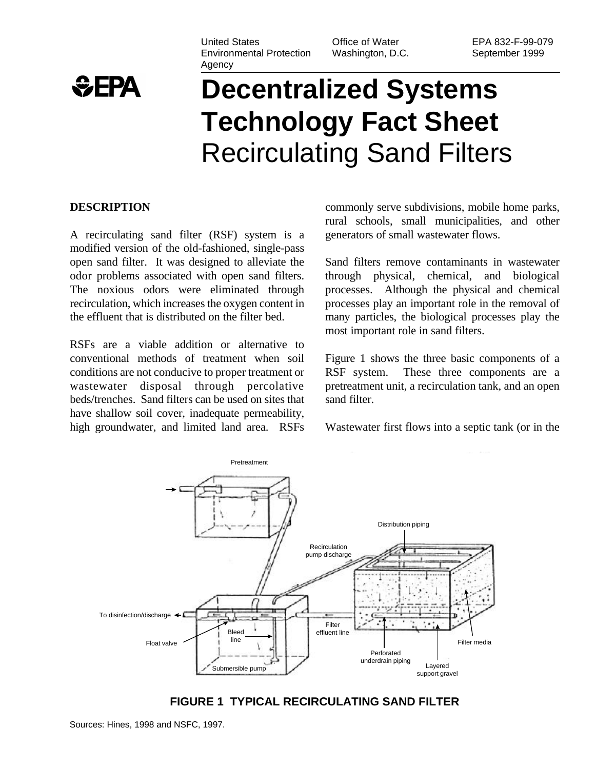

#### United States Environmental Protection Agency

Office of Water Washington, D.C.

# **Decentralized Systems Technology Fact Sheet** Recirculating Sand Filters

#### **DESCRIPTION**

A recirculating sand filter (RSF) system is a modified version of the old-fashioned, single-pass open sand filter. It was designed to alleviate the odor problems associated with open sand filters. The noxious odors were eliminated through recirculation, which increases the oxygen content in the effluent that is distributed on the filter bed.

RSFs are a viable addition or alternative to conventional methods of treatment when soil conditions are not conducive to proper treatment or wastewater disposal through percolative beds/trenches. Sand filters can be used on sites that have shallow soil cover, inadequate permeability, high groundwater, and limited land area. RSFs commonly serve subdivisions, mobile home parks, rural schools, small municipalities, and other generators of small wastewater flows.

Sand filters remove contaminants in wastewater through physical, chemical, and biological processes. Although the physical and chemical processes play an important role in the removal of many particles, the biological processes play the most important role in sand filters.

Figure 1 shows the three basic components of a RSF system. These three components are a pretreatment unit, a recirculation tank, and an open sand filter.

Wastewater first flows into a septic tank (or in the



**FIGURE 1 TYPICAL RECIRCULATING SAND FILTER**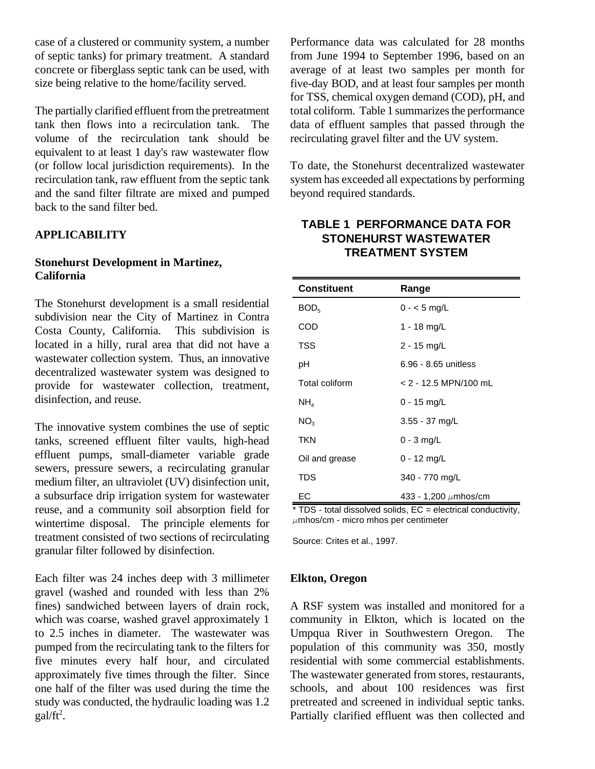case of a clustered or community system, a number of septic tanks) for primary treatment. A standard concrete or fiberglass septic tank can be used, with size being relative to the home/facility served.

The partially clarified effluent from the pretreatment tank then flows into a recirculation tank. The volume of the recirculation tank should be equivalent to at least 1 day's raw wastewater flow (or follow local jurisdiction requirements). In the recirculation tank, raw effluent from the septic tank and the sand filter filtrate are mixed and pumped back to the sand filter bed.

#### **APPLICABILITY**

#### **Stonehurst Development in Martinez, California**

The Stonehurst development is a small residential subdivision near the City of Martinez in Contra Costa County, California. This subdivision is located in a hilly, rural area that did not have a wastewater collection system. Thus, an innovative decentralized wastewater system was designed to provide for wastewater collection, treatment, disinfection, and reuse.

The innovative system combines the use of septic tanks, screened effluent filter vaults, high-head effluent pumps, small-diameter variable grade sewers, pressure sewers, a recirculating granular medium filter, an ultraviolet (UV) disinfection unit, a subsurface drip irrigation system for wastewater reuse, and a community soil absorption field for wintertime disposal. The principle elements for treatment consisted of two sections of recirculating granular filter followed by disinfection.

Each filter was 24 inches deep with 3 millimeter gravel (washed and rounded with less than 2% fines) sandwiched between layers of drain rock, which was coarse, washed gravel approximately 1 to 2.5 inches in diameter. The wastewater was pumped from the recirculating tank to the filters for five minutes every half hour, and circulated approximately five times through the filter. Since one half of the filter was used during the time the study was conducted, the hydraulic loading was 1.2  $gal/ft<sup>2</sup>$ .

Performance data was calculated for 28 months from June 1994 to September 1996, based on an average of at least two samples per month for five-day BOD, and at least four samples per month for TSS, chemical oxygen demand (COD), pH, and total coliform. Table 1 summarizes the performance data of effluent samples that passed through the recirculating gravel filter and the UV system.

To date, the Stonehurst decentralized wastewater system has exceeded all expectations by performing beyond required standards.

## **TABLE 1 PERFORMANCE DATA FOR STONEHURST WASTEWATER TREATMENT SYSTEM**

| <b>Constituent</b>                                                                    | Range                                                         |  |
|---------------------------------------------------------------------------------------|---------------------------------------------------------------|--|
| BOD <sub>5</sub>                                                                      | $0 - 5$ mg/L                                                  |  |
| COD                                                                                   | 1 - 18 mg/L                                                   |  |
| <b>TSS</b>                                                                            | 2 - 15 mg/L                                                   |  |
| рH                                                                                    | 6.96 - 8.65 unitless                                          |  |
| Total coliform                                                                        | $<$ 2 - 12.5 MPN/100 mL                                       |  |
| $NH_{4}$                                                                              | $0 - 15$ mg/L                                                 |  |
| NO <sub>3</sub>                                                                       | $3.55 - 37$ mg/L                                              |  |
| TKN                                                                                   | $0 - 3$ mg/L                                                  |  |
| Oil and grease                                                                        | $0 - 12$ mg/L                                                 |  |
| TDS                                                                                   | 340 - 770 mg/L                                                |  |
| EС<br>$\mathbf{A}$ . The set of $\mathbf{A}$<br>$4.11 - 12.5$<br>$+ \tau \wedge \tau$ | 433 - 1,200 $\mu$ mhos/cm<br>and the contract of the sentence |  |

 $TDS$  - total dissolved solids,  $EC =$  electrical conductivity,  $\mu$ mhos/cm - micro mhos per centimeter

Source: Crites et al., 1997.

#### **Elkton, Oregon**

A RSF system was installed and monitored for a community in Elkton, which is located on the Umpqua River in Southwestern Oregon. The population of this community was 350, mostly residential with some commercial establishments. The wastewater generated from stores, restaurants, schools, and about 100 residences was first pretreated and screened in individual septic tanks. Partially clarified effluent was then collected and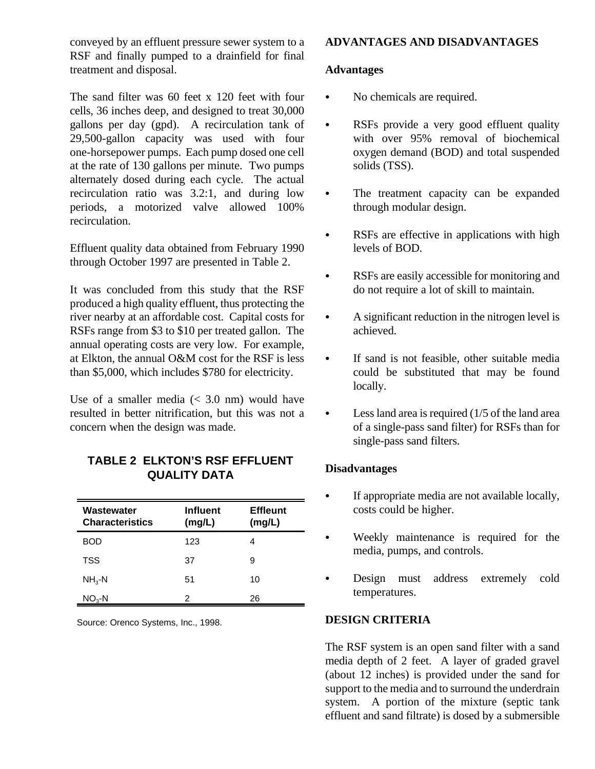conveyed by an effluent pressure sewer system to a RSF and finally pumped to a drainfield for final treatment and disposal.

The sand filter was 60 feet x 120 feet with four cells, 36 inches deep, and designed to treat 30,000 gallons per day (gpd). A recirculation tank of 29,500-gallon capacity was used with four one-horsepower pumps. Each pump dosed one cell at the rate of 130 gallons per minute. Two pumps alternately dosed during each cycle. The actual recirculation ratio was 3.2:1, and during low periods, a motorized valve allowed 100% recirculation.

Effluent quality data obtained from February 1990 through October 1997 are presented in Table 2.

It was concluded from this study that the RSF produced a high quality effluent, thus protecting the river nearby at an affordable cost. Capital costs for RSFs range from \$3 to \$10 per treated gallon. The annual operating costs are very low. For example, at Elkton, the annual O&M cost for the RSF is less than \$5,000, which includes \$780 for electricity.

Use of a smaller media  $( $3.0 \text{ nm}$ )$  would have resulted in better nitrification, but this was not a concern when the design was made.

## **TABLE 2 ELKTON'S RSF EFFLUENT QUALITY DATA**

| Wastewater<br><b>Characteristics</b> | <b>Influent</b><br>(mg/L) | <b>Effleunt</b><br>(mg/L) |
|--------------------------------------|---------------------------|---------------------------|
| BOD                                  | 123                       | 4                         |
| TSS                                  | 37                        | 9                         |
| $NH_{3}$ -N                          | 51                        | 10                        |
| $NO3-N$                              | 2                         | 26                        |

Source: Orenco Systems, Inc., 1998.

## **ADVANTAGES AND DISADVANTAGES**

#### **Advantages**

- No chemicals are required.
- RSFs provide a very good effluent quality with over 95% removal of biochemical oxygen demand (BOD) and total suspended solids (TSS).
- The treatment capacity can be expanded through modular design.
- RSFs are effective in applications with high levels of BOD.
- RSFs are easily accessible for monitoring and do not require a lot of skill to maintain.
- A significant reduction in the nitrogen level is achieved.
- If sand is not feasible, other suitable media could be substituted that may be found locally.
- Less land area is required  $(1/5)$  of the land area of a single-pass sand filter) for RSFs than for single-pass sand filters.

## **Disadvantages**

- If appropriate media are not available locally, costs could be higher.
- Weekly maintenance is required for the media, pumps, and controls.
- Design must address extremely cold temperatures.

## **DESIGN CRITERIA**

The RSF system is an open sand filter with a sand media depth of 2 feet. A layer of graded gravel (about 12 inches) is provided under the sand for support to the media and to surround the underdrain system. A portion of the mixture (septic tank effluent and sand filtrate) is dosed by a submersible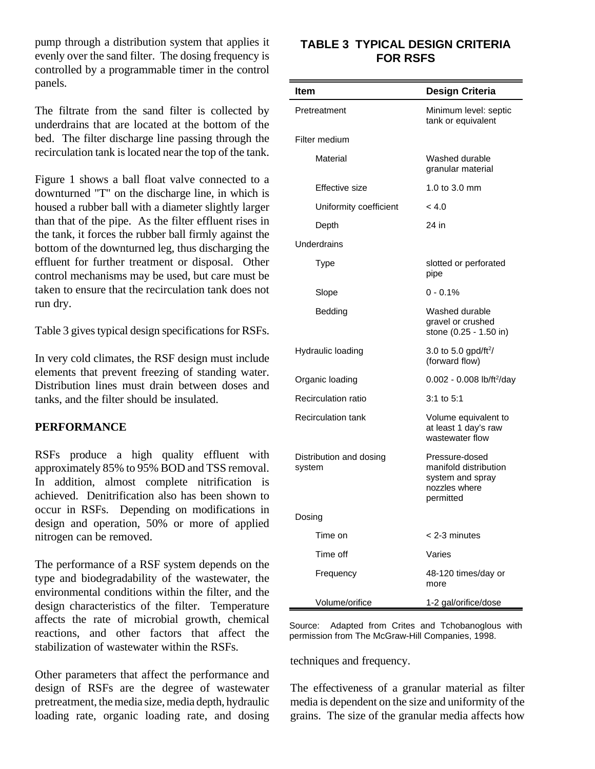pump through a distribution system that applies it evenly over the sand filter. The dosing frequency is controlled by a programmable timer in the control panels.

The filtrate from the sand filter is collected by underdrains that are located at the bottom of the bed. The filter discharge line passing through the recirculation tank is located near the top of the tank.

Figure 1 shows a ball float valve connected to a downturned "T" on the discharge line, in which is housed a rubber ball with a diameter slightly larger than that of the pipe. As the filter effluent rises in the tank, it forces the rubber ball firmly against the bottom of the downturned leg, thus discharging the effluent for further treatment or disposal. Other control mechanisms may be used, but care must be taken to ensure that the recirculation tank does not run dry.

Table 3 gives typical design specifications for RSFs.

In very cold climates, the RSF design must include elements that prevent freezing of standing water. Distribution lines must drain between doses and tanks, and the filter should be insulated.

#### **PERFORMANCE**

RSFs produce a high quality effluent with approximately 85% to 95% BOD and TSS removal. In addition, almost complete nitrification is achieved. Denitrification also has been shown to occur in RSFs. Depending on modifications in design and operation, 50% or more of applied nitrogen can be removed.

The performance of a RSF system depends on the type and biodegradability of the wastewater, the environmental conditions within the filter, and the design characteristics of the filter. Temperature affects the rate of microbial growth, chemical reactions, and other factors that affect the stabilization of wastewater within the RSFs.

Other parameters that affect the performance and design of RSFs are the degree of wastewater pretreatment, the media size, media depth, hydraulic loading rate, organic loading rate, and dosing

## **TABLE 3 TYPICAL DESIGN CRITERIA FOR RSFS**

| ltem                              | <b>Design Criteria</b>                                                                    |
|-----------------------------------|-------------------------------------------------------------------------------------------|
| Pretreatment                      | Minimum level: septic<br>tank or equivalent                                               |
| Filter medium                     |                                                                                           |
| Material                          | Washed durable<br>granular material                                                       |
| Effective size                    | 1.0 to 3.0 mm                                                                             |
| Uniformity coefficient            | < 4.0                                                                                     |
| Depth                             | 24 in                                                                                     |
| Underdrains                       |                                                                                           |
| Type                              | slotted or perforated<br>pipe                                                             |
| Slope                             | $0 - 0.1%$                                                                                |
| Bedding                           | Washed durable<br>gravel or crushed<br>stone (0.25 - 1.50 in)                             |
| Hydraulic loading                 | 3.0 to 5.0 gpd/ft <sup>2</sup> /<br>(forward flow)                                        |
| Organic loading                   | $0.002 - 0.008$ lb/ft <sup>2</sup> /day                                                   |
| Recirculation ratio               | $3:1$ to $5:1$                                                                            |
| <b>Recirculation tank</b>         | Volume equivalent to<br>at least 1 day's raw<br>wastewater flow                           |
| Distribution and dosing<br>system | Pressure-dosed<br>manifold distribution<br>system and spray<br>nozzles where<br>permitted |
| Dosing                            |                                                                                           |
| Time on                           | < 2-3 minutes                                                                             |
| Time off                          | Varies                                                                                    |
| Frequency                         | 48-120 times/day or<br>more                                                               |
| Volume/orifice                    | 1-2 gal/orifice/dose                                                                      |

Source: Adapted from Crites and Tchobanoglous with permission from The McGraw-Hill Companies, 1998.

techniques and frequency.

The effectiveness of a granular material as filter media is dependent on the size and uniformity of the grains. The size of the granular media affects how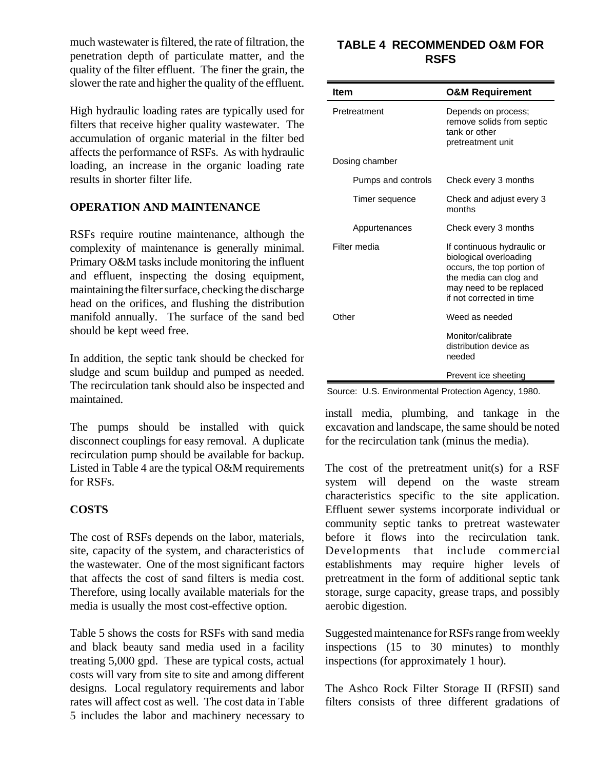much wastewater is filtered, the rate of filtration, the penetration depth of particulate matter, and the quality of the filter effluent. The finer the grain, the slower the rate and higher the quality of the effluent.

High hydraulic loading rates are typically used for filters that receive higher quality wastewater. The accumulation of organic material in the filter bed affects the performance of RSFs. As with hydraulic loading, an increase in the organic loading rate results in shorter filter life.

#### **OPERATION AND MAINTENANCE**

RSFs require routine maintenance, although the complexity of maintenance is generally minimal. Primary O&M tasks include monitoring the influent and effluent, inspecting the dosing equipment, maintaining the filter surface, checking the discharge head on the orifices, and flushing the distribution manifold annually. The surface of the sand bed should be kept weed free.

In addition, the septic tank should be checked for sludge and scum buildup and pumped as needed. The recirculation tank should also be inspected and maintained.

The pumps should be installed with quick disconnect couplings for easy removal. A duplicate recirculation pump should be available for backup. Listed in Table 4 are the typical O&M requirements for RSFs.

## **COSTS**

The cost of RSFs depends on the labor, materials, site, capacity of the system, and characteristics of the wastewater. One of the most significant factors that affects the cost of sand filters is media cost. Therefore, using locally available materials for the media is usually the most cost-effective option.

Table 5 shows the costs for RSFs with sand media and black beauty sand media used in a facility treating 5,000 gpd. These are typical costs, actual costs will vary from site to site and among different designs. Local regulatory requirements and labor rates will affect cost as well. The cost data in Table 5 includes the labor and machinery necessary to

## **TABLE 4 RECOMMENDED O&M FOR RSFS**

| Item               | <b>O&amp;M Requirement</b>                                                                                                                                          |
|--------------------|---------------------------------------------------------------------------------------------------------------------------------------------------------------------|
| Pretreatment       | Depends on process;<br>remove solids from septic<br>tank or other<br>pretreatment unit                                                                              |
| Dosing chamber     |                                                                                                                                                                     |
| Pumps and controls | Check every 3 months                                                                                                                                                |
| Timer sequence     | Check and adjust every 3<br>months                                                                                                                                  |
| Appurtenances      | Check every 3 months                                                                                                                                                |
| Filter media       | If continuous hydraulic or<br>biological overloading<br>occurs, the top portion of<br>the media can clog and<br>may need to be replaced<br>if not corrected in time |
| Other              | Weed as needed                                                                                                                                                      |
|                    | Monitor/calibrate<br>distribution device as<br>needed                                                                                                               |
|                    | Prevent ice sheeting                                                                                                                                                |

Source: U.S. Environmental Protection Agency, 1980.

install media, plumbing, and tankage in the excavation and landscape, the same should be noted for the recirculation tank (minus the media).

The cost of the pretreatment unit(s) for a RSF system will depend on the waste stream characteristics specific to the site application. Effluent sewer systems incorporate individual or community septic tanks to pretreat wastewater before it flows into the recirculation tank. Developments that include commercial establishments may require higher levels of pretreatment in the form of additional septic tank storage, surge capacity, grease traps, and possibly aerobic digestion.

Suggested maintenance for RSFs range from weekly inspections (15 to 30 minutes) to monthly inspections (for approximately 1 hour).

The Ashco Rock Filter Storage II (RFSII) sand filters consists of three different gradations of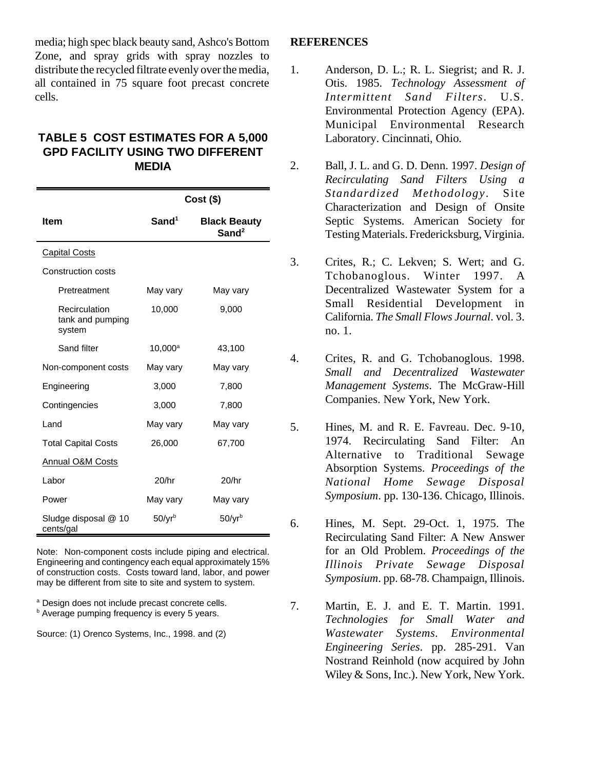media; high spec black beauty sand, Ashco's Bottom Zone, and spray grids with spray nozzles to distribute the recycled filtrate evenly over the media, all contained in 75 square foot precast concrete cells.

#### **TABLE 5 COST ESTIMATES FOR A 5,000 GPD FACILITY USING TWO DIFFERENT MEDIA**

|                                             | $Cost($ \$)        |                                          |  |
|---------------------------------------------|--------------------|------------------------------------------|--|
| <b>Item</b>                                 | Sand <sup>1</sup>  | <b>Black Beauty</b><br>Sand <sup>2</sup> |  |
| <b>Capital Costs</b>                        |                    |                                          |  |
| Construction costs                          |                    |                                          |  |
| Pretreatment                                | May vary           | May vary                                 |  |
| Recirculation<br>tank and pumping<br>system | 10,000             | 9,000                                    |  |
| Sand filter                                 | $10,000^a$         | 43,100                                   |  |
| Non-component costs                         | May vary           | May vary                                 |  |
| Engineering                                 | 3,000              | 7,800                                    |  |
| Contingencies                               | 3,000              | 7,800                                    |  |
| Land                                        | May vary           | May vary                                 |  |
| <b>Total Capital Costs</b>                  | 26,000             | 67,700                                   |  |
| <b>Annual O&amp;M Costs</b>                 |                    |                                          |  |
| Labor                                       | 20/hr              | 20/hr                                    |  |
| Power                                       | May vary           | May vary                                 |  |
| Sludge disposal @ 10<br>cents/gal           | 50/yr <sup>b</sup> | $50$ /yrb                                |  |

Note: Non-component costs include piping and electrical. Engineering and contingency each equal approximately 15% of construction costs. Costs toward land, labor, and power may be different from site to site and system to system.

<sup>a</sup> Design does not include precast concrete cells. **b** Average pumping frequency is every 5 years.

Source: (1) Orenco Systems, Inc., 1998. and (2)

#### **REFERENCES**

- 1. Anderson, D. L.; R. L. Siegrist; and R. J. Otis. 1985. *Technology Assessment of Intermittent Sand Filters*. U.S. Environmental Protection Agency (EPA). Municipal Environmental Research Laboratory. Cincinnati, Ohio.
- 2. Ball, J. L. and G. D. Denn. 1997. *Design of Recirculating Sand Filters Using a Standardized Methodology*. Site Characterization and Design of Onsite Septic Systems. American Society for Testing Materials. Fredericksburg, Virginia.
- 3. Crites, R.; C. Lekven; S. Wert; and G. Tchobanoglous. Winter 1997. A Decentralized Wastewater System for a Small Residential Development in California. *The Small Flows Journal*. vol. 3. no. 1.
- 4. Crites, R. and G. Tchobanoglous. 1998. *Small and Decentralized Wastewater Management Systems*. The McGraw-Hill Companies. New York, New York.
- 5. Hines, M. and R. E. Favreau. Dec. 9-10, 1974. Recirculating Sand Filter: An Alternative to Traditional Sewage Absorption Systems. *Proceedings of the National Home Sewage Disposal Symposium*. pp. 130-136. Chicago, Illinois.
- 6. Hines, M. Sept. 29-Oct. 1, 1975. The Recirculating Sand Filter: A New Answer for an Old Problem. *Proceedings of the Illinois Private Sewage Disposal Symposium*. pp. 68-78. Champaign, Illinois.
- 7. Martin, E. J. and E. T. Martin. 1991. *Technologies for Small Water and Wastewater Systems. Environmental Engineering Series*. pp. 285-291. Van Nostrand Reinhold (now acquired by John Wiley & Sons, Inc.). New York, New York.